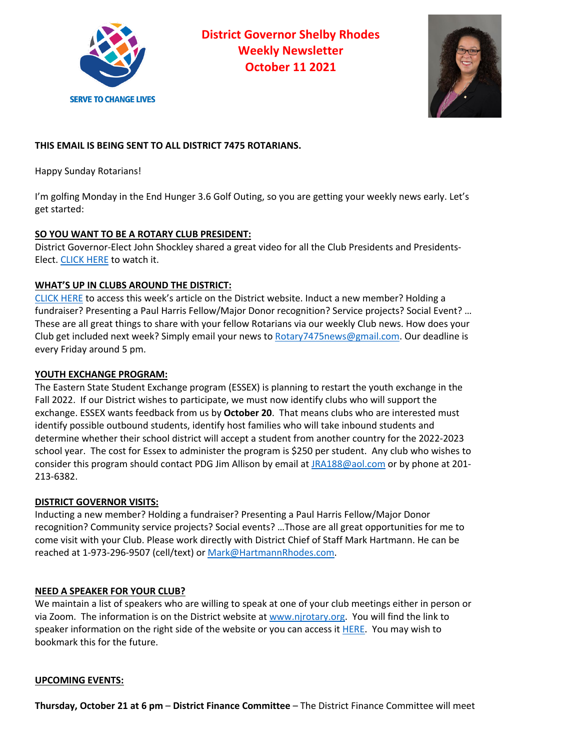

**District Governor Shelby Rhodes Weekly Newsletter October 11 2021**



# **THIS EMAIL IS BEING SENT TO ALL DISTRICT 7475 ROTARIANS.**

Happy Sunday Rotarians!

I'm golfing Monday in the End Hunger 3.6 Golf Outing, so you are getting your weekly news early. Let's get started:

## **SO YOU WANT TO BE A ROTARY CLUB PRESIDENT:**

District Governor-Elect John Shockley shared a great video for all the Club Presidents and Presidents-Elect. CLICK HERE to watch it.

## **WHAT'S UP IN CLUBS AROUND THE DISTRICT:**

CLICK HERE to access this week's article on the District website. Induct a new member? Holding a fundraiser? Presenting a Paul Harris Fellow/Major Donor recognition? Service projects? Social Event? … These are all great things to share with your fellow Rotarians via our weekly Club news. How does your Club get included next week? Simply email your news to Rotary7475news@gmail.com. Our deadline is every Friday around 5 pm.

#### **YOUTH EXCHANGE PROGRAM:**

The Eastern State Student Exchange program (ESSEX) is planning to restart the youth exchange in the Fall 2022. If our District wishes to participate, we must now identify clubs who will support the exchange. ESSEX wants feedback from us by **October 20**. That means clubs who are interested must identify possible outbound students, identify host families who will take inbound students and determine whether their school district will accept a student from another country for the 2022-2023 school year. The cost for Essex to administer the program is \$250 per student. Any club who wishes to consider this program should contact PDG Jim Allison by email at JRA188@aol.com or by phone at 201-213-6382.

## **DISTRICT GOVERNOR VISITS:**

Inducting a new member? Holding a fundraiser? Presenting a Paul Harris Fellow/Major Donor recognition? Community service projects? Social events? …Those are all great opportunities for me to come visit with your Club. Please work directly with District Chief of Staff Mark Hartmann. He can be reached at 1-973-296-9507 (cell/text) or Mark@HartmannRhodes.com.

## **NEED A SPEAKER FOR YOUR CLUB?**

We maintain a list of speakers who are willing to speak at one of your club meetings either in person or via Zoom. The information is on the District website at www.njrotary.org. You will find the link to speaker information on the right side of the website or you can access it **HERE.** You may wish to bookmark this for the future.

#### **UPCOMING EVENTS:**

**Thursday, October 21 at 6 pm** – **District Finance Committee** – The District Finance Committee will meet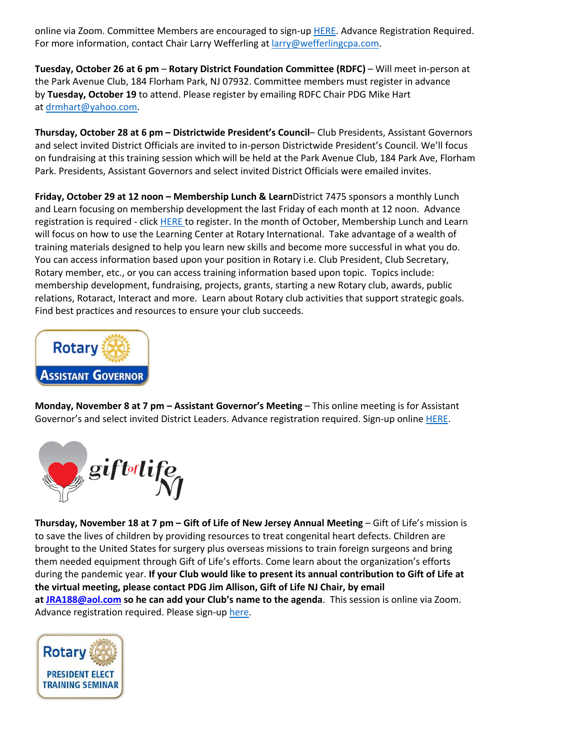online via Zoom. Committee Members are encouraged to sign-up HERE. Advance Registration Required. For more information, contact Chair Larry Wefferling at larry@wefferlingcpa.com.

**Tuesday, October 26 at 6 pm** – **Rotary District Foundation Committee (RDFC)** – Will meet in-person at the Park Avenue Club, 184 Florham Park, NJ 07932. Committee members must register in advance by **Tuesday, October 19** to attend. Please register by emailing RDFC Chair PDG Mike Hart at drmhart@yahoo.com.

**Thursday, October 28 at 6 pm – Districtwide President's Council**– Club Presidents, Assistant Governors and select invited District Officials are invited to in-person Districtwide President's Council. We'll focus on fundraising at this training session which will be held at the Park Avenue Club, 184 Park Ave, Florham Park. Presidents, Assistant Governors and select invited District Officials were emailed invites.

**Friday, October 29 at 12 noon – Membership Lunch & Learn**District 7475 sponsors a monthly Lunch and Learn focusing on membership development the last Friday of each month at 12 noon. Advance registration is required - click HERE to register. In the month of October, Membership Lunch and Learn will focus on how to use the Learning Center at Rotary International. Take advantage of a wealth of training materials designed to help you learn new skills and become more successful in what you do. You can access information based upon your position in Rotary i.e. Club President, Club Secretary, Rotary member, etc., or you can access training information based upon topic. Topics include: membership development, fundraising, projects, grants, starting a new Rotary club, awards, public relations, Rotaract, Interact and more. Learn about Rotary club activities that support strategic goals. Find best practices and resources to ensure your club succeeds.



**Monday, November 8 at 7 pm – Assistant Governor's Meeting** – This online meeting is for Assistant Governor's and select invited District Leaders. Advance registration required. Sign-up online **HERE**.



**Thursday, November 18 at 7 pm – Gift of Life of New Jersey Annual Meeting** – Gift of Life's mission is to save the lives of children by providing resources to treat congenital heart defects. Children are brought to the United States for surgery plus overseas missions to train foreign surgeons and bring them needed equipment through Gift of Life's efforts. Come learn about the organization's efforts during the pandemic year. **If your Club would like to present its annual contribution to Gift of Life at the virtual meeting, please contact PDG Jim Allison, Gift of Life NJ Chair, by email at JRA188@aol.com so he can add your Club's name to the agenda**. This session is online via Zoom. Advance registration required. Please sign-up here.